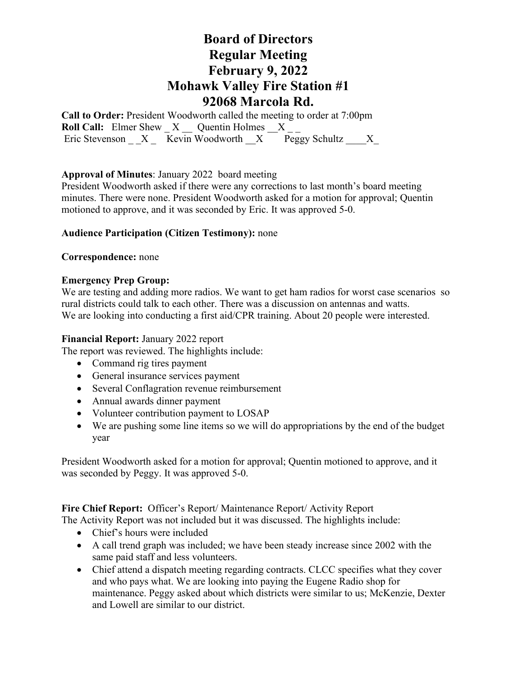# **Board of Directors Regular Meeting February 9, 2022 Mohawk Valley Fire Station #1 92068 Marcola Rd.**

**Call to Order:** President Woodworth called the meeting to order at 7:00pm **Roll Call:** Elmer Shew  $X$  Quentin Holmes  $X$ Eric Stevenson \_ \_X \_ Kevin Woodworth \_\_X Peggy Schultz \_\_\_\_X\_

### **Approval of Minutes**: January 2022 board meeting

President Woodworth asked if there were any corrections to last month's board meeting minutes. There were none. President Woodworth asked for a motion for approval; Quentin motioned to approve, and it was seconded by Eric. It was approved 5-0.

### **Audience Participation (Citizen Testimony):** none

#### **Correspondence:** none

#### **Emergency Prep Group:**

We are testing and adding more radios. We want to get ham radios for worst case scenarios so rural districts could talk to each other. There was a discussion on antennas and watts. We are looking into conducting a first aid/CPR training. About 20 people were interested.

#### **Financial Report:** January 2022 report

The report was reviewed. The highlights include:

- Command rig tires payment
- General insurance services payment
- Several Conflagration revenue reimbursement
- Annual awards dinner payment
- Volunteer contribution payment to LOSAP
- We are pushing some line items so we will do appropriations by the end of the budget year

President Woodworth asked for a motion for approval; Quentin motioned to approve, and it was seconded by Peggy. It was approved 5-0.

#### **Fire Chief Report:** Officer's Report/ Maintenance Report/ Activity Report

The Activity Report was not included but it was discussed. The highlights include:

- Chief's hours were included
- A call trend graph was included; we have been steady increase since 2002 with the same paid staff and less volunteers.
- Chief attend a dispatch meeting regarding contracts. CLCC specifies what they cover and who pays what. We are looking into paying the Eugene Radio shop for maintenance. Peggy asked about which districts were similar to us; McKenzie, Dexter and Lowell are similar to our district.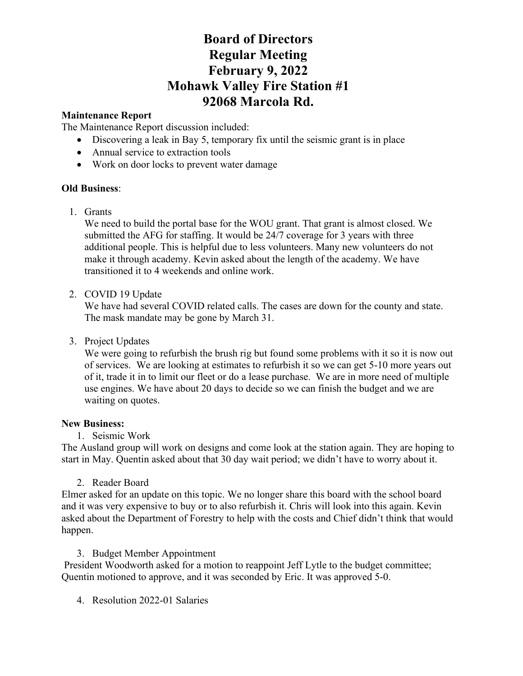# **Board of Directors Regular Meeting February 9, 2022 Mohawk Valley Fire Station #1 92068 Marcola Rd.**

## **Maintenance Report**

The Maintenance Report discussion included:

- Discovering a leak in Bay 5, temporary fix until the seismic grant is in place
- Annual service to extraction tools
- Work on door locks to prevent water damage

## **Old Business**:

1. Grants

We need to build the portal base for the WOU grant. That grant is almost closed. We submitted the AFG for staffing. It would be 24/7 coverage for 3 years with three additional people. This is helpful due to less volunteers. Many new volunteers do not make it through academy. Kevin asked about the length of the academy. We have transitioned it to 4 weekends and online work.

2. COVID 19 Update

We have had several COVID related calls. The cases are down for the county and state. The mask mandate may be gone by March 31.

3. Project Updates

We were going to refurbish the brush rig but found some problems with it so it is now out of services. We are looking at estimates to refurbish it so we can get 5-10 more years out of it, trade it in to limit our fleet or do a lease purchase. We are in more need of multiple use engines. We have about 20 days to decide so we can finish the budget and we are waiting on quotes.

## **New Business:**

1. Seismic Work

The Ausland group will work on designs and come look at the station again. They are hoping to start in May. Quentin asked about that 30 day wait period; we didn't have to worry about it.

2. Reader Board

Elmer asked for an update on this topic. We no longer share this board with the school board and it was very expensive to buy or to also refurbish it. Chris will look into this again. Kevin asked about the Department of Forestry to help with the costs and Chief didn't think that would happen.

## 3. Budget Member Appointment

President Woodworth asked for a motion to reappoint Jeff Lytle to the budget committee; Quentin motioned to approve, and it was seconded by Eric. It was approved 5-0.

4. Resolution 2022-01 Salaries